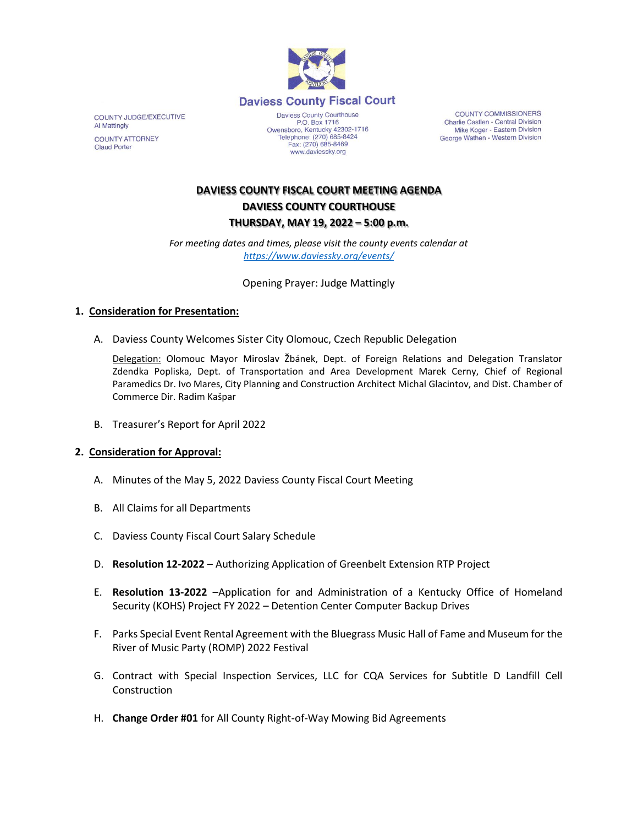

COUNTY JUDGE/EXECUTIVE Al Mattingly **COUNTY ATTORNEY Claud Porter** 

Daviess County Courthouse P.O. Box 1716<br>Owensboro, Kentucky 42302-1716<br>Telephone: (270) 685-8424 Fax: (270) 685-8469 www.daviessky.org

COUNTY COMMISSIONERS Charlie Castlen - Central Division Mike Koger - Eastern Division George Wathen - Western Division

# **DAVIESS COUNTY FISCAL COURT MEETING AGENDA DAVIESS COUNTY COURTHOUSE THURSDAY, MAY 19, 2022 – 5:00 p.m.**

*For meeting dates and times, please visit the county events calendar at <https://www.daviessky.org/events/>*

Opening Prayer: Judge Mattingly

## **1. Consideration for Presentation:**

A. Daviess County Welcomes Sister City Olomouc, Czech Republic Delegation

Delegation: Olomouc Mayor Miroslav Žbánek, Dept. of Foreign Relations and Delegation Translator Zdendka Popliska, Dept. of Transportation and Area Development Marek Cerny, Chief of Regional Paramedics Dr. Ivo Mares, City Planning and Construction Architect Michal Glacintov, and Dist. Chamber of Commerce Dir. Radim Kašpar

B. Treasurer's Report for April 2022

## **2. Consideration for Approval:**

- A. Minutes of the May 5, 2022 Daviess County Fiscal Court Meeting
- B. All Claims for all Departments
- C. Daviess County Fiscal Court Salary Schedule
- D. **Resolution 12-2022** Authorizing Application of Greenbelt Extension RTP Project
- E. **Resolution 13-2022** –Application for and Administration of a Kentucky Office of Homeland Security (KOHS) Project FY 2022 – Detention Center Computer Backup Drives
- F. Parks Special Event Rental Agreement with the Bluegrass Music Hall of Fame and Museum for the River of Music Party (ROMP) 2022 Festival
- G. Contract with Special Inspection Services, LLC for CQA Services for Subtitle D Landfill Cell **Construction**
- H. **Change Order #01** for All County Right-of-Way Mowing Bid Agreements